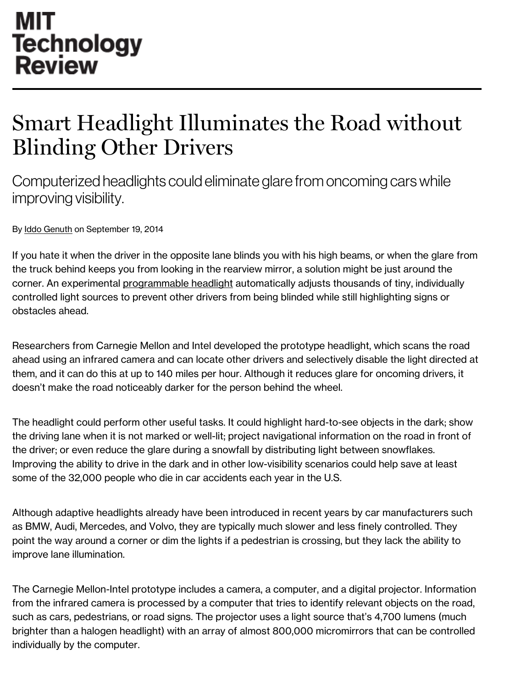## **MIT Technology Review**

## Smart Headlight Illuminates the Road without Blinding Other Drivers

Computerized headlights could eliminate glare from oncoming cars while improving visibility.

By Iddo [Genuth](http://www.technologyreview.com/contributor/iddo-genuth/) on September 19, 2014

If you hate it when the driver in the opposite lane blinds you with his high beams, or when the glare from the truck behind keeps you from looking in the rearview mirror, a solution might be just around the corner. An experimental [programmable](http://www.cs.cmu.edu/~ILIM/projects/IL/smartHeadlight/) headlight automatically adjusts thousands of tiny, individually controlled light sources to prevent other drivers from being blinded while still highlighting signs or obstacles ahead.

Researchers from Carnegie Mellon and Intel developed the prototype headlight, which scans the road ahead using an infrared camera and can locate other drivers and selectively disable the light directed at them, and it can do this at up to 140 miles per hour. Although it reduces glare for oncoming drivers, it doesn't make the road noticeably darker for the person behind the wheel.

The headlight could perform other useful tasks. It could highlight hard-to-see objects in the dark; show the driving lane when it is not marked or well-lit; project navigational information on the road in front of the driver; or even reduce the glare during a snowfall by distributing light between snowflakes. Improving the ability to drive in the dark and in other low-visibility scenarios could help save at least some of the 32,000 people who die in car accidents each year in the U.S.

Although adaptive headlights already have been introduced in recent years by car manufacturers such as BMW, Audi, Mercedes, and Volvo, they are typically much slower and less finely controlled. They point the way around a corner or dim the lights if a pedestrian is crossing, but they lack the ability to improve lane illumination.

The Carnegie Mellon-Intel prototype includes a camera, a computer, and a digital projector. Information from the infrared camera is processed by a computer that tries to identify relevant objects on the road, such as cars, pedestrians, or road signs. The projector uses a light source that's 4,700 lumens (much brighter than a halogen headlight) with an array of almost 800,000 micromirrors that can be controlled individually by the computer.